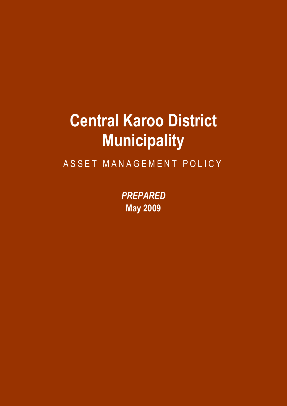# **Central Karoo District Municipality**

ASSET MANAGEMENT POLICY

*PREPARED* **May 2009**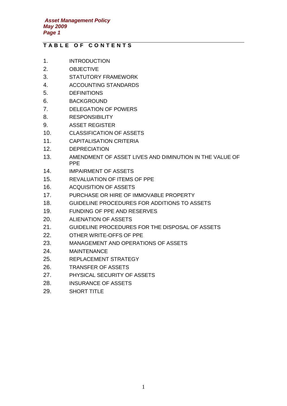# **T A B L E O F C O N T E N T S**

- 1. INTRODUCTION
- 2. OBJECTIVE
- 3. STATUTORY FRAMEWORK
- 4. ACCOUNTING STANDARDS
- 5. DEFINITIONS
- 6. BACKGROUND
- 7. DELEGATION OF POWERS
- 8. RESPONSIBILITY
- 9. ASSET REGISTER
- 10. CLASSIFICATION OF ASSETS
- 11. CAPITALISATION CRITERIA
- 12. DEPRECIATION
- 13. AMENDMENT OF ASSET LIVES AND DIMINUTION IN THE VALUE OF PPE
- 14. IMPAIRMENT OF ASSETS
- 15. REVALUATION OF ITEMS OF PPE
- 16. ACQUISITION OF ASSETS
- 17. PURCHASE OR HIRE OF IMMOVABLE PROPERTY
- 18. GUIDELINE PROCEDURES FOR ADDITIONS TO ASSETS
- 19. FUNDING OF PPE AND RESERVES
- 20. ALIENATION OF ASSETS
- 21. GUIDELINE PROCEDURES FOR THE DISPOSAL OF ASSETS
- 22. OTHER WRITE-OFFS OF PPE
- 23. MANAGEMENT AND OPERATIONS OF ASSETS
- 24. MAINTENANCE
- 25. REPLACEMENT STRATEGY
- 26. TRANSFER OF ASSETS
- 27. PHYSICAL SECURITY OF ASSETS
- 28. INSURANCE OF ASSETS
- 29. SHORT TITLE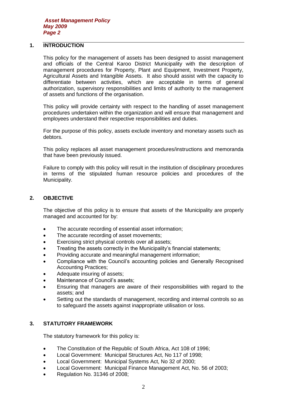# **1. INTRODUCTION**

This policy for the management of assets has been designed to assist management and officials of the Central Karoo District Municipality with the description of management procedures for Property, Plant and Equipment, Investment Property, Agricultural Assets and Intangible Assets. It also should assist with the capacity to differentiate between activities, which are acceptable in terms of general authorization, supervisory responsibilities and limits of authority to the management of assets and functions of the organisation.

This policy will provide certainty with respect to the handling of asset management procedures undertaken within the organization and will ensure that management and employees understand their respective responsibilities and duties.

For the purpose of this policy, assets exclude inventory and monetary assets such as debtors.

This policy replaces all asset management procedures/instructions and memoranda that have been previously issued.

Failure to comply with this policy will result in the institution of disciplinary procedures in terms of the stipulated human resource policies and procedures of the Municipality.

# **2. OBJECTIVE**

The objective of this policy is to ensure that assets of the Municipality are properly managed and accounted for by:

- The accurate recording of essential asset information;
- The accurate recording of asset movements:
- Exercising strict physical controls over all assets;
- Treating the assets correctly in the Municipality's financial statements;
- Providing accurate and meaningful management information;
- Compliance with the Council's accounting policies and Generally Recognised Accounting Practices;
- Adequate insuring of assets;
- Maintenance of Council's assets;
- Ensuring that managers are aware of their responsibilities with regard to the assets; and
- Setting out the standards of management, recording and internal controls so as to safeguard the assets against inappropriate utilisation or loss.

# **3. STATUTORY FRAMEWORK**

The statutory framework for this policy is:

- The Constitution of the Republic of South Africa, Act 108 of 1996;
- Local Government: Municipal Structures Act, No 117 of 1998;
- Local Government: Municipal Systems Act, No 32 of 2000;
- Local Government: Municipal Finance Management Act, No. 56 of 2003;
- Regulation No. 31346 of 2008;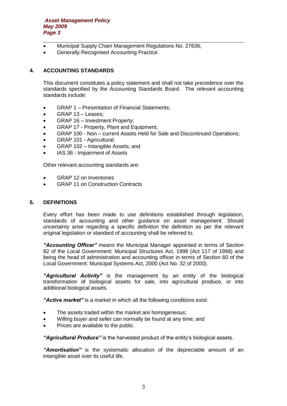- Municipal Supply Chain Management Regulations No. 27636;
- Generally Recognised Accounting Practice.

# **4. ACCOUNTING STANDARDS**

This document constitutes a policy statement and shall not take precedence over the standards specified by the Accounting Standards Board. The relevant accounting standards include:

- GRAP 1 Presentation of Financial Statements;
- GRAP 13 Leases:
- GRAP 16 Investment Property;
- GRAP 17 Property, Plant and Equipment;
- GRAP 100 Non current Assets Held for Sale and Discontinued Operations;
- GRAP 101 Agricultural;
- GRAP 102 Intangible Assets; and
- IAS 36 Impairment of Assets

Other relevant accounting standards are:

- **GRAP 12 on Inventories**
- GRAP 11 on Construction Contracts

# **5. DEFINITIONS**

Every effort has been made to use definitions established through legislation, standards of accounting and other guidance on asset management. Should uncertainty arise regarding a specific definition the definition as per the relevant original legislation or standard of accounting shall be referred to.

*"Accounting Officer"* means the Municipal Manager appointed in terms of Section 82 of the Local Government: Municipal Structures Act, 1998 (Act 117 of 1998) and being the head of administration and accounting officer in terms of Section 60 of the Local Government: Municipal Systems Act, 2000 (Act No. 32 of 2000).

*"Agricultural Activity"* is the management by an entity of the biological transformation of biological assets for sale, into agricultural produce, or into additional biological assets.

*"Active market"* is a market in which all the following conditions exist:

- The assets traded within the market are homogeneous;
- Willing buyer and seller can normally be found at any time; and
- Prices are available to the public.

*"Agricultural Produce"* is the harvested product of the entity's biological assets.

*"Amortisation"* is the systematic allocation of the depreciable amount of an intangible asset over its useful life.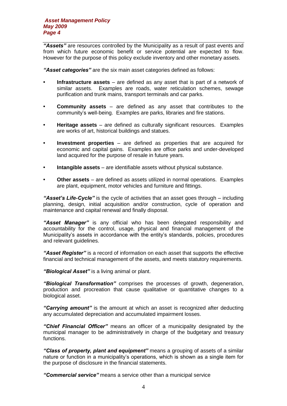*"Assets"* are resources controlled by the Municipality as a result of past events and from which future economic benefit or service potential are expected to flow. However for the purpose of this policy exclude inventory and other monetary assets.

*"Asset categories"* are the six main asset categories defined as follows:

- **• Infrastructure assets** are defined as any asset that is part of a network of similar assets. Examples are roads, water reticulation schemes, sewage purification and trunk mains, transport terminals and car parks.
- **• Community assets**  are defined as any asset that contributes to the community's well-being. Examples are parks, libraries and fire stations.
- **• Heritage assets** are defined as culturally significant resources. Examples are works of art, historical buildings and statues.
- **• Investment properties** are defined as properties that are acquired for economic and capital gains. Examples are office parks and under-developed land acquired for the purpose of resale in future years.
- **• Intangible assets**  are identifiable assets without physical substance.
- **• Other assets**  are defined as assets utilized in normal operations. Examples are plant, equipment, motor vehicles and furniture and fittings.

*"Asset's Life-Cycle"* is the cycle of activities that an asset goes through – including planning, design, initial acquisition and/or construction, cycle of operation and maintenance and capital renewal and finally disposal.

*"Asset Manager"* is any official who has been delegated responsibility and accountability for the control, usage, physical and financial management of the Municipality's assets in accordance with the entity's standards, policies, procedures and relevant guidelines.

*"Asset Register"* is a record of information on each asset that supports the effective financial and technical management of the assets, and meets statutory requirements.

*"Biological Asset"* is a living animal or plant.

*"Biological Transformation"* comprises the processes of growth, degeneration, production and procreation that cause qualitative or quantitative changes to a biological asset.

*"Carrying amount"* is the amount at which an asset is recognized after deducting any accumulated depreciation and accumulated impairment losses.

*"Chief Financial Officer"* means an officer of a municipality designated by the municipal manager to be administratively in charge of the budgetary and treasury functions.

*"Class of property, plant and equipment"* means a grouping of assets of a similar nature or function in a municipality's operations, which is shown as a single item for the purpose of disclosure in the financial statements.

*"Commercial service"* means a service other than a municipal service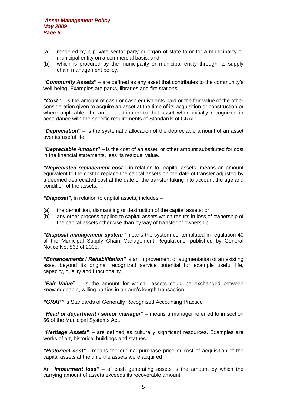- (a) rendered by a private sector party or organ of state to or for a municipality or municipal entity on a commercial basis; and
- (b) which is procured by the municipality or municipal entity through its supply chain management policy.

**"***Community Assets***"** – are defined as any asset that contributes to the community's well-being. Examples are parks, libraries and fire stations.

*"Cost"* – is the amount of cash or cash equivalents paid or the fair value of the other consideration given to acquire an asset at the time of its acquisition or construction or where applicable, the amount attributed to that asset when initially recognized in accordance with the specific requirements of Standards of GRAP.

**"***Depreciation***"** – is the systematic allocation of the depreciable amount of an asset over its useful life.

**"***Depreciable Amount***"** – is the cost of an asset, or other amount substituted for cost in the financial statements, less its residual value.

*"Depreciated replacement cost"*, in relation to capital assets, means an amount equivalent to the cost to replace the capital assets on the date of transfer adjusted by a deemed depreciated cost at the date of the transfer taking into account the age and condition of the assets.

*"Disposal"*, in relation to capital assets, includes –

- (a) the demolition, dismantling or destruction of the capital assets; or
- (b) any other process applied to capital assets which results in loss of ownership of the capital assets otherwise than by way of transfer of ownership.

*"Disposal management system"* means the system contemplated in regulation 40 of the Municipal Supply Chain Management Regulations, published by General Notice No. 868 of 2005.

*"Enhancements / Rehabilitation"* is an improvement or augmentation of an existing asset beyond its original recognized service potential for example useful life, capacity, quality and functionality.

**"***Fair Value***"** – is the amount for which assets could be exchanged between knowledgeable, willing parties in an arm's length transaction.

*"GRAP"* is Standards of Generally Recognised Accounting Practice

**"***Head of department / senior manager***"** – means a manager referred to in section 56 of the Municipal Systems Act.

**"***Heritage Assets***"** – are defined as culturally significant resources. Examples are works of art, historical buildings and statues.

*"Historical cost" -* means the original purchase price or cost of acquisition of the capital assets at the time the assets were acquired

An "*impairment loss"* – of cash generating assets is the amount by which the carrying amount of assets exceeds its recoverable amount.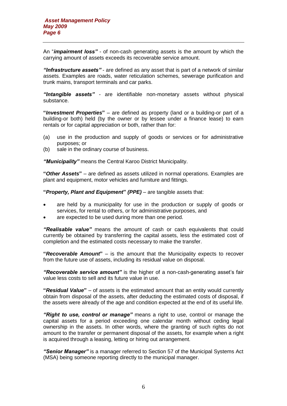An "*impairment loss"* - of non-cash generating assets is the amount by which the carrying amount of assets exceeds its recoverable service amount.

*"Infrastructure assets"* - are defined as any asset that is part of a network of similar assets. Examples are roads, water reticulation schemes, sewerage purification and trunk mains, transport terminals and car parks.

*"Intangible assets" -* are identifiable non-monetary assets without physical substance.

**"***Investment Properties***"** – are defined as property (land or a building-or part of a building-or both) held (by the owner or by lessee under a finance lease) to earn rentals or for capital appreciation or both, rather than for:

- (a) use in the production and supply of goods or services or for administrative purposes; or
- (b) sale in the ordinary course of business.

*"Municipality"* means the Central Karoo District Municipality.

**"***Other Assets***"** – are defined as assets utilized in normal operations. Examples are plant and equipment, motor vehicles and furniture and fittings.

**"***Property, Plant and Equipment***"** *(PPE)* – are tangible assets that:

- are held by a municipality for use in the production or supply of goods or services, for rental to others, or for administrative purposes, and
- are expected to be used during more than one period.

*"Realisable value"* means the amount of cash or cash equivalents that could currently be obtained by transferring the capital assets, less the estimated cost of completion and the estimated costs necessary to make the transfer.

**"***Recoverable Amount***"** – is the amount that the Municipality expects to recover from the future use of assets, including its residual value on disposal.

*"Recoverable service amount"* is the higher of a non-cash-generating asset's fair value less costs to sell and its future value in use.

**"***Residual Value***"** – of assets is the estimated amount that an entity would currently obtain from disposal of the assets, after deducting the estimated costs of disposal, if the assets were already of the age and condition expected at the end of its useful life.

*"Right to use, control or manage"* means a right to use, control or manage the capital assets for a period exceeding one calendar month without ceding legal ownership in the assets. In other words, where the granting of such rights do not amount to the transfer or permanent disposal of the assets, for example when a right is acquired through a leasing, letting or hiring out arrangement.

*"Senior Manager"* is a manager referred to Section 57 of the Municipal Systems Act (MSA) being someone reporting directly to the municipal manager.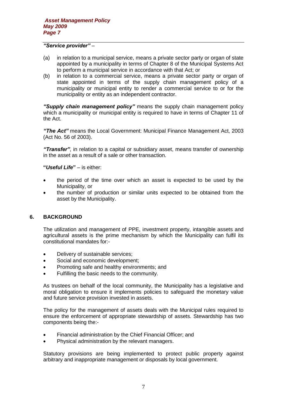#### *"Service provider"* –

- (a) in relation to a municipal service, means a private sector party or organ of state appointed by a municipality in terms of Chapter 8 of the Municipal Systems Act to perform a municipal service in accordance with that Act; or
- (b) in relation to a commercial service, means a private sector party or organ of state appointed in terms of the supply chain management policy of a municipality or municipal entity to render a commercial service to or for the municipality or entity as an independent contractor.

*"Supply chain management policy"* means the supply chain management policy which a municipality or municipal entity is required to have in terms of Chapter 11 of the Act.

*"The Act"* means the Local Government: Municipal Finance Management Act, 2003 (Act No. 56 of 2003).

*"Transfer"*, in relation to a capital or subsidiary asset, means transfer of ownership in the asset as a result of a sale or other transaction.

# **"***Useful Life***"** – is either:

- the period of the time over which an asset is expected to be used by the Municipality, or
- the number of production or similar units expected to be obtained from the asset by the Municipality.

#### **6. BACKGROUND**

The utilization and management of PPE, investment property, intangible assets and agricultural assets is the prime mechanism by which the Municipality can fulfil its constitutional mandates for:-

- Delivery of sustainable services;
- Social and economic development;
- Promoting safe and healthy environments; and
- Fulfilling the basic needs to the community.

As trustees on behalf of the local community, the Municipality has a legislative and moral obligation to ensure it implements policies to safeguard the monetary value and future service provision invested in assets.

The policy for the management of assets deals with the Municipal rules required to ensure the enforcement of appropriate stewardship of assets. Stewardship has two components being the:-

- Financial administration by the Chief Financial Officer; and
- Physical administration by the relevant managers.

Statutory provisions are being implemented to protect public property against arbitrary and inappropriate management or disposals by local government.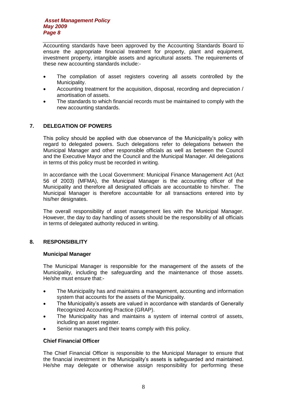Accounting standards have been approved by the Accounting Standards Board to ensure the appropriate financial treatment for property, plant and equipment, investment property, intangible assets and agricultural assets. The requirements of these new accounting standards include:-

- The compilation of asset registers covering all assets controlled by the Municipality.
- Accounting treatment for the acquisition, disposal, recording and depreciation / amortisation of assets.
- The standards to which financial records must be maintained to comply with the new accounting standards.

# **7. DELEGATION OF POWERS**

This policy should be applied with due observance of the Municipality's policy with regard to delegated powers. Such delegations refer to delegations between the Municipal Manager and other responsible officials as well as between the Council and the Executive Mayor and the Council and the Municipal Manager. All delegations in terms of this policy must be recorded in writing.

In accordance with the Local Government: Municipal Finance Management Act (Act 56 of 2003) (MFMA), the Municipal Manager is the accounting officer of the Municipality and therefore all designated officials are accountable to him/her. The Municipal Manager is therefore accountable for all transactions entered into by his/her designates.

The overall responsibility of asset management lies with the Municipal Manager. However, the day to day handling of assets should be the responsibility of all officials in terms of delegated authority reduced in writing.

# **8. RESPONSIBILITY**

#### **Municipal Manager**

The Municipal Manager is responsible for the management of the assets of the Municipality, including the safeguarding and the maintenance of those assets. He/she must ensure that:-

- The Municipality has and maintains a management, accounting and information system that accounts for the assets of the Municipality.
- The Municipality's assets are valued in accordance with standards of Generally Recognized Accounting Practice (GRAP).
- The Municipality has and maintains a system of internal control of assets, including an asset register.
- Senior managers and their teams comply with this policy.

#### **Chief Financial Officer**

The Chief Financial Officer is responsible to the Municipal Manager to ensure that the financial investment in the Municipality's assets is safeguarded and maintained. He/she may delegate or otherwise assign responsibility for performing these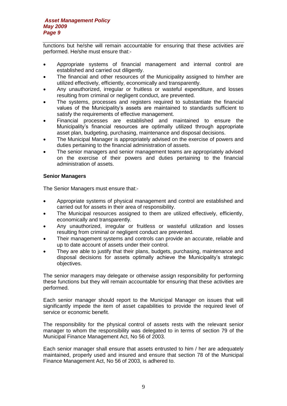functions but he/she will remain accountable for ensuring that these activities are performed. He/she must ensure that:-

- Appropriate systems of financial management and internal control are established and carried out diligently.
- The financial and other resources of the Municipality assigned to him/her are utilized effectively, efficiently, economically and transparently.
- Any unauthorized, irregular or fruitless or wasteful expenditure, and losses resulting from criminal or negligent conduct, are prevented.
- The systems, processes and registers required to substantiate the financial values of the Municipality's assets are maintained to standards sufficient to satisfy the requirements of effective management.
- Financial processes are established and maintained to ensure the Municipality's financial resources are optimally utilized through appropriate asset plan, budgeting, purchasing, maintenance and disposal decisions.
- The Municipal Manager is appropriately advised on the exercise of powers and duties pertaining to the financial administration of assets.
- The senior managers and senior management teams are appropriately advised on the exercise of their powers and duties pertaining to the financial administration of assets.

# **Senior Managers**

The Senior Managers must ensure that:-

- Appropriate systems of physical management and control are established and carried out for assets in their area of responsibility.
- The Municipal resources assigned to them are utilized effectively, efficiently, economically and transparently.
- Any unauthorized, irregular or fruitless or wasteful utilization and losses resulting from criminal or negligent conduct are prevented.
- Their management systems and controls can provide an accurate, reliable and up to date account of assets under their control.
- They are able to justify that their plans, budgets, purchasing, maintenance and disposal decisions for assets optimally achieve the Municipality's strategic objectives.

The senior managers may delegate or otherwise assign responsibility for performing these functions but they will remain accountable for ensuring that these activities are performed.

Each senior manager should report to the Municipal Manager on issues that will significantly impede the item of asset capabilities to provide the required level of service or economic benefit.

The responsibility for the physical control of assets rests with the relevant senior manager to whom the responsibility was delegated to in terms of section 79 of the Municipal Finance Management Act, No 56 of 2003.

Each senior manager shall ensure that assets entrusted to him / her are adequately maintained, properly used and insured and ensure that section 78 of the Municipal Finance Management Act, No 56 of 2003, is adhered to.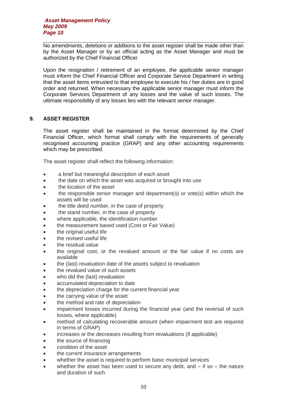No amendments, deletions or additions to the asset register shall be made other than by the Asset Manager or by an official acting as the Asset Manager and must be authorized by the Chief Financial Officer.

Upon the resignation / retirement of an employee, the applicable senior manager must inform the Chief Financial Officer and Corporate Service Department in writing that the asset items entrusted to that employee to execute his / her duties are in good order and returned. When necessary the applicable senior manager must inform the Corporate Services Department of any losses and the value of such losses. The ultimate responsibility of any losses lies with the relevant senior manager.

# **9. ASSET REGISTER**

The asset register shall be maintained in the format determined by the Chief Financial Officer, which format shall comply with the requirements of generally recognised accounting practice (GRAP) and any other accounting requirements which may be prescribed.

The asset register shall reflect the following information:

- a brief but meaningful description of each asset
- the date on which the asset was acquired or brought into use
- the location of the asset
- the responsible senior manager and department(s) or vote(s) within which the assets will be used
- the title deed number, in the case of property
- the stand number, in the case of property
- where applicable, the identification number
- the measurement based used (Cost or Fair Value)
- the original useful life
- the revised useful life
- the residual value
- the original cost, or the revalued amount or the fair value if no costs are available
- the (last) revaluation date of the assets subject to revaluation
- the revalued value of such assets
- who did the (last) revaluation
- accumulated depreciation to date
- the depreciation charge for the current financial year
- the carrying value of the asset
- the method and rate of depreciation
- impairment losses incurred during the financial year (and the reversal of such losses, where applicable)
- method of calculating recoverable amount (when impairment test are required in terms of GRAP)
- increases or the decreases resulting from revaluations (if applicable)
- the source of financing
- condition of the asset
- the current insurance arrangements
- whether the asset is required to perform basic municipal services
- whether the asset has been used to secure any debt, and if so the nature and duration of such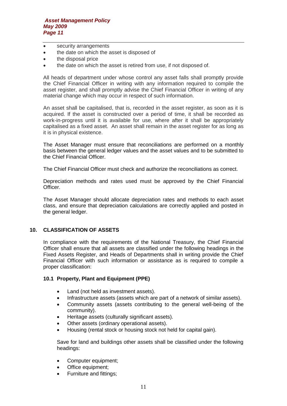- security arrangements
- the date on which the asset is disposed of
- the disposal price
- the date on which the asset is retired from use, if not disposed of.

All heads of department under whose control any asset falls shall promptly provide the Chief Financial Officer in writing with any information required to compile the asset register, and shall promptly advise the Chief Financial Officer in writing of any material change which may occur in respect of such information.

An asset shall be capitalised, that is, recorded in the asset register, as soon as it is acquired. If the asset is constructed over a period of time, it shall be recorded as work-in-progress until it is available for use, where after it shall be appropriately capitalised as a fixed asset. An asset shall remain in the asset register for as long as it is in physical existence.

The Asset Manager must ensure that reconciliations are performed on a monthly basis between the general ledger values and the asset values and to be submitted to the Chief Financial Officer.

The Chief Financial Officer must check and authorize the reconciliations as correct.

Depreciation methods and rates used must be approved by the Chief Financial Officer.

The Asset Manager should allocate depreciation rates and methods to each asset class, and ensure that depreciation calculations are correctly applied and posted in the general ledger.

# **10. CLASSIFICATION OF ASSETS**

In compliance with the requirements of the National Treasury, the Chief Financial Officer shall ensure that all assets are classified under the following headings in the Fixed Assets Register, and Heads of Departments shall in writing provide the Chief Financial Officer with such information or assistance as is required to compile a proper classification:

# **10.1 Property, Plant and Equipment (PPE)**

- Land (not held as investment assets).
- Infrastructure assets (assets which are part of a network of similar assets).
- Community assets (assets contributing to the general well-being of the community).
- Heritage assets (culturally significant assets).
- Other assets (ordinary operational assets).
- Housing (rental stock or housing stock not held for capital gain).

Save for land and buildings other assets shall be classified under the following headings:

- Computer equipment;
- Office equipment;
- Furniture and fittings;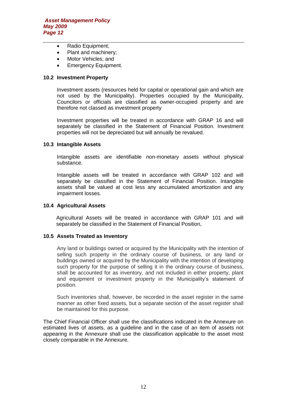- Radio Equipment;
- Plant and machinery;
- Motor Vehicles; and
- Emergency Equipment.

# **10.2 Investment Property**

Investment assets (resources held for capital or operational gain and which are not used by the Municipality). Properties occupied by the Municipality, Councilors or officials are classified as owner-occupied property and are therefore not classed as investment property

Investment properties will be treated in accordance with GRAP 16 and will separately be classified in the Statement of Financial Position. Investment properties will not be depreciated but will annually be revalued.

#### **10.3 Intangible Assets**

Intangible assets are identifiable non-monetary assets without physical substance.

Intangible assets will be treated in accordance with GRAP 102 and will separately be classified in the Statement of Financial Position. Intangible assets shall be valued at cost less any accumulated amortization and any impairment losses.

# **10.4 Agricultural Assets**

Agricultural Assets will be treated in accordance with GRAP 101 and will separately be classified in the Statement of Financial Position,

#### **10.5 Assets Treated as Inventory**

Any land or buildings owned or acquired by the Municipality with the intention of selling such property in the ordinary course of business, or any land or buildings owned or acquired by the Municipality with the intention of developing such property for the purpose of selling it in the ordinary course of business, shall be accounted for as inventory, and not included in either property, plant and equipment or investment property in the Municipality's statement of position.

Such inventories shall, however, be recorded in the asset register in the same manner as other fixed assets, but a separate section of the asset register shall be maintained for this purpose.

The Chief Financial Officer shall use the classifications indicated in the Annexure on estimated lives of assets, as a guideline and in the case of an item of assets not appearing in the Annexure shall use the classification applicable to the asset most closely comparable in the Annexure.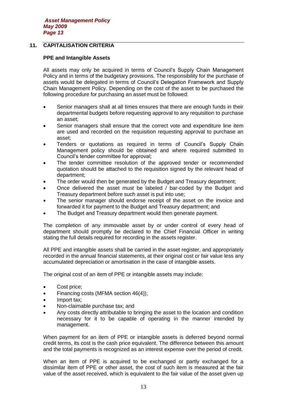# **11. CAPITALISATION CRITERIA**

# **PPE and Intangible Assets**

All assets may only be acquired in terms of Council's Supply Chain Management Policy and in terms of the budgetary provisions. The responsibility for the purchase of assets would be delegated in terms of Council's Delegation Framework and Supply Chain Management Policy. Depending on the cost of the asset to be purchased the following procedure for purchasing an asset must be followed:

- Senior managers shall at all times ensures that there are enough funds in their departmental budgets before requesting approval to any requisition to purchase an asset;
- Senior managers shall ensure that the correct vote and expenditure line item are used and recorded on the requisition requesting approval to purchase an asset;
- Tenders or quotations as required in terms of Council's Supply Chain Management policy should be obtained and where required submitted to Council's tender committee for approval;
- The tender committee resolution of the approved tender or recommended quotation should be attached to the requisition signed by the relevant head of department;
- The order would then be generated by the Budget and Treasury department;
- Once delivered the asset must be labeled / bar-coded by the Budget and Treasury department before such asset is put into use;
- The senior manager should endorse receipt of the asset on the invoice and forwarded it for payment to the Budget and Treasury department; and
- The Budget and Treasury department would then generate payment.

The completion of any immovable asset by or under control of every head of department should promptly be declared to the Chief Financial Officer in writing stating the full details required for recording in the assets register.

All PPE and intangible assets shall be carried in the asset register, and appropriately recorded in the annual financial statements, at their original cost or fair value less any accumulated depreciation or amortisation in the case of intangible assets.

The original cost of an item of PPE or intangible assets may include:

- Cost price;
- Financing costs (MFMA section 46(4));
- Import tax;
- Non-claimable purchase tax; and
- Any costs directly attributable to bringing the asset to the location and condition necessary for it to be capable of operating in the manner intended by management.

When payment for an item of PPE or intangible assets is deferred beyond normal credit terms, its cost is the cash price equivalent. The difference between this amount and the total payments is recognized as an interest expense over the period of credit.

When an item of PPE is acquired to be exchanged or partly exchanged for a dissimilar item of PPE or other asset, the cost of such item is measured at the fair value of the asset received, which is equivalent to the fair value of the asset given up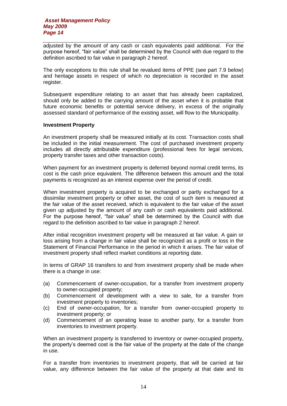adjusted by the amount of any cash or cash equivalents paid additional. For the purpose hereof, "fair value" shall be determined by the Council with due regard to the definition ascribed to fair value in paragraph 2 hereof.

The only exceptions to this rule shall be revalued items of PPE (see part 7.9 below) and heritage assets in respect of which no depreciation is recorded in the asset register.

Subsequent expenditure relating to an asset that has already been capitalized, should only be added to the carrying amount of the asset when it is probable that future economic benefits or potential service delivery, in excess of the originally assessed standard of performance of the existing asset, will flow to the Municipality.

#### **Investment Property**

An investment property shall be measured initially at its cost. Transaction costs shall be included in the initial measurement. The cost of purchased investment property includes all directly attributable expenditure (professional fees for legal services, property transfer taxes and other transaction costs).

When payment for an investment property is deferred beyond normal credit terms, its cost is the cash price equivalent. The difference between this amount and the total payments is recognized as an interest expense over the period of credit.

When investment property is acquired to be exchanged or partly exchanged for a dissimilar investment property or other asset, the cost of such item is measured at the fair value of the asset received, which is equivalent to the fair value of the asset given up adjusted by the amount of any cash or cash equivalents paid additional. For the purpose hereof, "fair value" shall be determined by the Council with due regard to the definition ascribed to fair value in paragraph 2 hereof.

After initial recognition investment property will be measured at fair value. A gain or loss arising from a change in fair value shall be recognized as a profit or loss in the Statement of Financial Performance in the period in which it arises. The fair value of investment property shall reflect market conditions at reporting date.

In terms of GRAP 16 transfers to and from investment property shall be made when there is a change in use:

- (a) Commencement of owner-occupation, for a transfer from investment property to owner-occupied property;
- (b) Commencement of development with a view to sale, for a transfer from investment property to inventories;
- (c) End of owner-occupation, for a transfer from owner-occupied property to investment property; or
- (d) Commencement of an operating lease to another party, for a transfer from inventories to investment property.

When an investment property is transferred to inventory or owner-occupied property, the property's deemed cost is the fair value of the property at the date of the change in use.

For a transfer from inventories to investment property, that will be carried at fair value, any difference between the fair value of the property at that date and its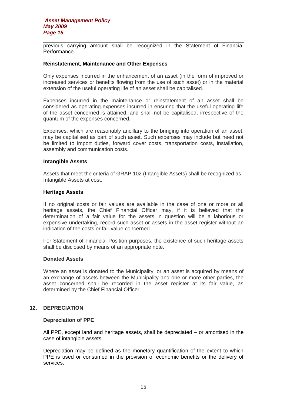previous carrying amount shall be recognized in the Statement of Financial Performance.

#### **Reinstatement, Maintenance and Other Expenses**

Only expenses incurred in the enhancement of an asset (in the form of improved or increased services or benefits flowing from the use of such asset) or in the material extension of the useful operating life of an asset shall be capitalised.

Expenses incurred in the maintenance or reinstatement of an asset shall be considered as operating expenses incurred in ensuring that the useful operating life of the asset concerned is attained, and shall not be capitalised, irrespective of the quantum of the expenses concerned.

Expenses, which are reasonably ancillary to the bringing into operation of an asset, may be capitalised as part of such asset. Such expenses may include but need not be limited to import duties, forward cover costs, transportation costs, installation, assembly and communication costs.

#### **Intangible Assets**

Assets that meet the criteria of GRAP 102 (Intangible Assets) shall be recognized as Intangible Assets at cost.

#### **Heritage Assets**

If no original costs or fair values are available in the case of one or more or all heritage assets, the Chief Financial Officer may, if it is believed that the determination of a fair value for the assets in question will be a laborious or expensive undertaking, record such asset or assets in the asset register without an indication of the costs or fair value concerned.

For Statement of Financial Position purposes, the existence of such heritage assets shall be disclosed by means of an appropriate note.

#### **Donated Assets**

Where an asset is donated to the Municipality, or an asset is acquired by means of an exchange of assets between the Municipality and one or more other parties, the asset concerned shall be recorded in the asset register at its fair value, as determined by the Chief Financial Officer.

#### **12. DEPRECIATION**

#### **Depreciation of PPE**

All PPE, except land and heritage assets, shall be depreciated – or amortised in the case of intangible assets.

Depreciation may be defined as the monetary quantification of the extent to which PPE is used or consumed in the provision of economic benefits or the delivery of services.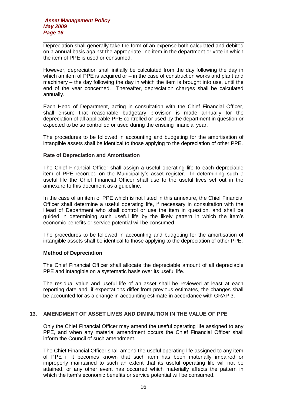Depreciation shall generally take the form of an expense both calculated and debited on a annual basis against the appropriate line item in the department or vote in which the item of PPE is used or consumed.

However, depreciation shall initially be calculated from the day following the day in which an item of PPE is acquired or – in the case of construction works and plant and machinery – the day following the day in which the item is brought into use, until the end of the year concerned. Thereafter, depreciation charges shall be calculated annually.

Each Head of Department, acting in consultation with the Chief Financial Officer, shall ensure that reasonable budgetary provision is made annually for the depreciation of all applicable PPE controlled or used by the department in question or expected to be so controlled or used during the ensuing financial year.

The procedures to be followed in accounting and budgeting for the amortisation of intangible assets shall be identical to those applying to the depreciation of other PPE.

# **Rate of Depreciation and Amortisation**

The Chief Financial Officer shall assign a useful operating life to each depreciable item of PPE recorded on the Municipality's asset register. In determining such a useful life the Chief Financial Officer shall use to the useful lives set out in the annexure to this document as a guideline.

In the case of an item of PPE which is not listed in this annexure, the Chief Financial Officer shall determine a useful operating life, if necessary in consultation with the Head of Department who shall control or use the item in question, and shall be guided in determining such useful life by the likely pattern in which the item's economic benefits or service potential will be consumed.

The procedures to be followed in accounting and budgeting for the amortisation of intangible assets shall be identical to those applying to the depreciation of other PPE.

#### **Method of Depreciation**

The Chief Financial Officer shall allocate the depreciable amount of all depreciable PPE and intangible on a systematic basis over its useful life.

The residual value and useful life of an asset shall be reviewed at least at each reporting date and, if expectations differ from previous estimates, the changes shall be accounted for as a change in accounting estimate in accordance with GRAP 3.

# **13. AMENDMENT OF ASSET LIVES AND DIMINUTION IN THE VALUE OF PPE**

Only the Chief Financial Officer may amend the useful operating life assigned to any PPE, and when any material amendment occurs the Chief Financial Officer shall inform the Council of such amendment.

The Chief Financial Officer shall amend the useful operating life assigned to any item of PPE if it becomes known that such item has been materially impaired or improperly maintained to such an extent that its useful operating life will not be attained, or any other event has occurred which materially affects the pattern in which the item's economic benefits or service potential will be consumed.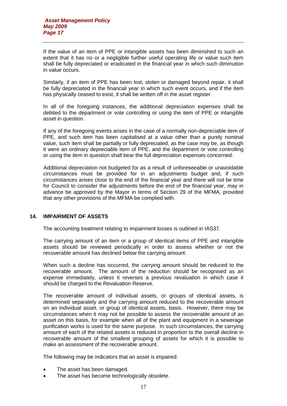If the value of an item of PPE or intangible assets has been diminished to such an extent that it has no or a negligible further useful operating life or value such item shall be fully depreciated or eradicated in the financial year in which such diminution in value occurs.

Similarly, if an item of PPE has been lost, stolen or damaged beyond repair, it shall be fully depreciated in the financial year in which such event occurs, and if the item has physically ceased to exist, it shall be written off in the asset register.

In all of the foregoing instances, the additional depreciation expenses shall be debited to the department or vote controlling or using the item of PPE or intangible asset in question.

If any of the foregoing events arises in the case of a normally non-depreciable item of PPE, and such item has been capitalised at a value other than a purely nominal value, such item shall be partially or fully depreciated, as the case may be, as though it were an ordinary depreciable item of PPE, and the department or vote controlling or using the item in question shall bear the full depreciation expenses concerned.

Additional depreciation not budgeted for as a result of unforeseeable or unavoidable circumstances must be provided for in an adjustments budget and, if such circumstances arises close to the end of the financial year and there will not be time for Council to consider the adjustments before the end of the financial year, may in advance be approved by the Mayor in terms of Section 29 of the MFMA, provided that any other provisions of the MFMA be complied with.

# **14. IMPAIRMENT OF ASSETS**

The accounting treatment relating to impairment losses is outlined in IAS37.

The carrying amount of an item or a group of identical items of PPE and intangible assets should be reviewed periodically in order to assess whether or not the recoverable amount has declined below the carrying amount.

When such a decline has occurred, the carrying amount should be reduced to the recoverable amount. The amount of the reduction should be recognised as an expense immediately, unless it reverses a previous revaluation in which case it should be charged to the Revaluation Reserve.

The recoverable amount of individual assets, or groups of identical assets, is determined separately and the carrying amount reduced to the recoverable amount on an individual asset, or group of identical assets, basis. However, there may be circumstances when it may not be possible to assess the recoverable amount of an asset on this basis, for example when all of the plant and equipment in a sewerage purification works is used for the same purpose. In such circumstances, the carrying amount of each of the related assets is reduced in proportion to the overall decline in recoverable amount of the smallest grouping of assets for which it is possible to make an assessment of the recoverable amount.

The following may be indicators that an asset is impaired:

- The asset has been damaged.
- The asset has become technologically obsolete.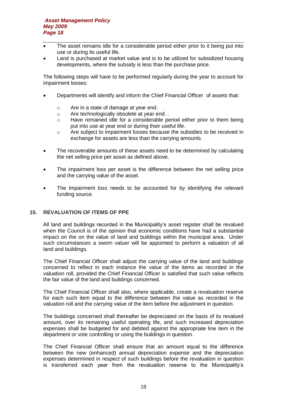- The asset remains idle for a considerable period either prior to it being put into use or during its useful life.
- Land is purchased at market value and is to be utilized for subsidized housing developments, where the subsidy is less than the purchase price.

The following steps will have to be performed regularly during the year to account for impairment losses:

- Departments will identify and inform the Chief Financial Officer of assets that:
	- o Are in a state of damage at year end.
	- o Are technologically obsolete at year end. .
	- o Have remained idle for a considerable period either prior to them being put into use at year end or during their useful life.
	- o Are subject to impairment losses because the subsidies to be received in exchange for assets are less than the carrying amounts.
- The recoverable amounts of these assets need to be determined by calculating the net selling price per asset as defined above.
- The impairment loss per asset is the difference between the net selling price and the carrying value of the asset.
- The impairment loss needs to be accounted for by identifying the relevant funding source.

# **15. REVALUATION OF ITEMS OF PPE**

All land and buildings recorded in the Municipality's asset register shall be revalued when the Council is of the opinion that economic conditions have had a substantial impact on the on the value of land and buildings within the municipal area. Under such circumstances a sworn valuer will be appointed to perform a valuation of all land and buildings.

The Chief Financial Officer shall adjust the carrying value of the land and buildings concerned to reflect in each instance the value of the items as recorded in the valuation roll, provided the Chief Financial Officer is satisfied that such value reflects the fair value of the land and buildings concerned.

The Chief Financial Officer shall also, where applicable, create a revaluation reserve for each such item equal to the difference between the value as recorded in the valuation roll and the carrying value of the item before the adjustment in question.

The buildings concerned shall thereafter be depreciated on the basis of its revalued amount, over its remaining useful operating life, and such increased depreciation expenses shall be budgeted for and debited against the appropriate line item in the department or vote controlling or using the buildings in question.

The Chief Financial Officer shall ensure that an amount equal to the difference between the new (enhanced) annual depreciation expense and the depreciation expenses determined in respect of such buildings before the revaluation in question is transferred each year from the revaluation reserve to the Municipality's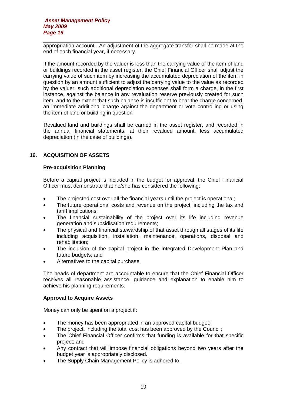appropriation account. An adjustment of the aggregate transfer shall be made at the end of each financial year, if necessary.

If the amount recorded by the valuer is less than the carrying value of the item of land or buildings recorded in the asset register, the Chief Financial Officer shall adjust the carrying value of such item by increasing the accumulated depreciation of the item in question by an amount sufficient to adjust the carrying value to the value as recorded by the valuer. such additional depreciation expenses shall form a charge, in the first instance, against the balance in any revaluation reserve previously created for such item, and to the extent that such balance is insufficient to bear the charge concerned, an immediate additional charge against the department or vote controlling or using the item of land or building in question

Revalued land and buildings shall be carried in the asset register, and recorded in the annual financial statements, at their revalued amount, less accumulated depreciation (in the case of buildings).

# **16. ACQUISITION OF ASSETS**

# **Pre-acquisition Planning**

Before a capital project is included in the budget for approval, the Chief Financial Officer must demonstrate that he/she has considered the following:

- The projected cost over all the financial years until the project is operational;
- The future operational costs and revenue on the project, including the tax and tariff implications;
- The financial sustainability of the project over its life including revenue generation and subsidisation requirements;
- The physical and financial stewardship of that asset through all stages of its life including acquisition, installation, maintenance, operations, disposal and rehabilitation;
- The inclusion of the capital project in the Integrated Development Plan and future budgets; and
- Alternatives to the capital purchase.

The heads of department are accountable to ensure that the Chief Financial Officer receives all reasonable assistance, guidance and explanation to enable him to achieve his planning requirements.

# **Approval to Acquire Assets**

Money can only be spent on a project if:

- The money has been appropriated in an approved capital budget;
- The project, including the total cost has been approved by the Council;
- The Chief Financial Officer confirms that funding is available for that specific project; and
- Any contract that will impose financial obligations beyond two years after the budget year is appropriately disclosed.
- The Supply Chain Management Policy is adhered to.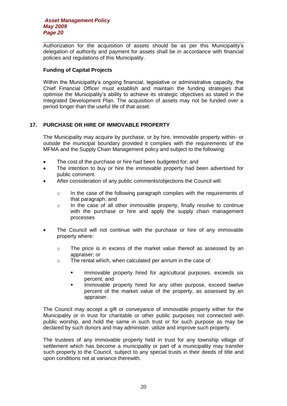Authorization for the acquisition of assets should be as per this Municipality's delegation of authority and payment for assets shall be in accordance with financial policies and regulations of this Municipality.

# **Funding of Capital Projects**

Within the Municipality's ongoing financial, legislative or administrative capacity, the Chief Financial Officer must establish and maintain the funding strategies that optimise the Municipality's ability to achieve its strategic objectives as stated in the Integrated Development Plan. The acquisition of assets may not be funded over a period longer than the useful life of that asset.

# **17. PURCHASE OR HIRE OF IMMOVABLE PROPERTY**

The Municipality may acquire by purchase, or by hire, immovable property within- or outside the municipal boundary provided it complies with the requirements of the MFMA and the Supply Chain Management policy and subject to the following:

- The cost of the purchase or hire had been budgeted for; and
- The intention to buy or hire the immovable property had been advertised for public comment.
- After consideration of any public comments/objections the Council will:
	- $\circ$  In the case of the following paragraph complies with the requirements of that paragraph; and
	- $\circ$  In the case of all other immovable property, finally resolve to continue with the purchase or hire and apply the supply chain management processes
- The Council will not continue with the purchase or hire of any immovable property where:
	- o The price is in excess of the market value thereof as assessed by an appraiser; or
	- o The rental which, when calculated per annum in the case of:
		- **IMMOVALE PROPERTY hired for agricultural purposes, exceeds six** percent; and
		- **IMMOVALLET PROPERTY hired for any other purpose, exceed twelve** percent of the market value of the property, as assessed by an appraiser.

The Council may accept a gift or conveyance of immovable property either for the Municipality or in trust for charitable or other public purposes not connected with public worship, and hold the same in such trust or for such purpose as may be declared by such donors and may administer, utilize and improve such property.

The trustees of any immovable property held in trust for any township village of settlement which has become a municipality or part of a municipality may transfer such property to the Council, subject to any special trusts in their deeds of title and upon conditions not at variance therewith.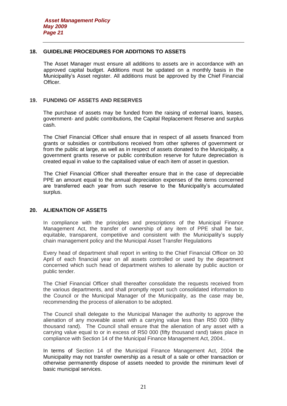# **18. GUIDELINE PROCEDURES FOR ADDITIONS TO ASSETS**

The Asset Manager must ensure all additions to assets are in accordance with an approved capital budget. Additions must be updated on a monthly basis in the Municipality's Asset register. All additions must be approved by the Chief Financial Officer.

# **19. FUNDING OF ASSETS AND RESERVES**

The purchase of assets may be funded from the raising of external loans, leases, government- and public contributions, the Capital Replacement Reserve and surplus cash.

The Chief Financial Officer shall ensure that in respect of all assets financed from grants or subsidies or contributions received from other spheres of government or from the public at large, as well as in respect of assets donated to the Municipality, a government grants reserve or public contribution reserve for future depreciation is created equal in value to the capitalised value of each item of asset in question.

The Chief Financial Officer shall thereafter ensure that in the case of depreciable PPE an amount equal to the annual depreciation expenses of the items concerned are transferred each year from such reserve to the Municipality's accumulated surplus.

# **20. ALIENATION OF ASSETS**

In compliance with the principles and prescriptions of the Municipal Finance Management Act, the transfer of ownership of any item of PPE shall be fair, equitable, transparent, competitive and consistent with the Municipality's supply chain management policy and the Municipal Asset Transfer Regulations

Every head of department shall report in writing to the Chief Financial Officer on 30 April of each financial year on all assets controlled or used by the department concerned which such head of department wishes to alienate by public auction or public tender.

The Chief Financial Officer shall thereafter consolidate the requests received from the various departments, and shall promptly report such consolidated information to the Council or the Municipal Manager of the Municipality, as the case may be, recommending the process of alienation to be adopted.

The Council shall delegate to the Municipal Manager the authority to approve the alienation of any moveable asset with a carrying value less than R50 000 (filthy thousand rand). The Council shall ensure that the alienation of any asset with a carrying value equal to or in excess of R50 000 (fifty thousand rand) takes place in compliance with Section 14 of the Municipal Finance Management Act, 2004..

In terms of Section 14 of the Municipal Finance Management Act, 2004 the Municipality may not transfer ownership as a result of a sale or other transaction or otherwise permanently dispose of assets needed to provide the minimum level of basic municipal services.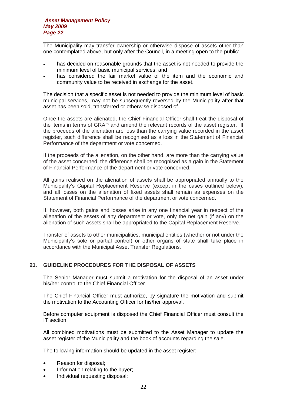The Municipality may transfer ownership or otherwise dispose of assets other than one contemplated above, but only after the Council, in a meeting open to the public:-

- has decided on reasonable grounds that the asset is not needed to provide the minimum level of basic municipal services; and
- has considered the fair market value of the item and the economic and community value to be received in exchange for the asset.

The decision that a specific asset is not needed to provide the minimum level of basic municipal services, may not be subsequently reversed by the Municipality after that asset has been sold, transferred or otherwise disposed of.

Once the assets are alienated, the Chief Financial Officer shall treat the disposal of the items in terms of GRAP and amend the relevant records of the asset register. If the proceeds of the alienation are less than the carrying value recorded in the asset register, such difference shall be recognised as a loss in the Statement of Financial Performance of the department or vote concerned.

If the proceeds of the alienation, on the other hand, are more than the carrying value of the asset concerned, the difference shall be recognised as a gain in the Statement of Financial Performance of the department or vote concerned.

All gains realised on the alienation of assets shall be appropriated annually to the Municipality's Capital Replacement Reserve (except in the cases outlined below), and all losses on the alienation of fixed assets shall remain as expenses on the Statement of Financial Performance of the department or vote concerned.

If, however, both gains and losses arise in any one financial year in respect of the alienation of the assets of any department or vote, only the net gain (if any) on the alienation of such assets shall be appropriated to the Capital Replacement Reserve.

Transfer of assets to other municipalities, municipal entities (whether or not under the Municipality's sole or partial control) or other organs of state shall take place in accordance with the Municipal Asset Transfer Regulations.

# **21. GUIDELINE PROCEDURES FOR THE DISPOSAL OF ASSETS**

The Senior Manager must submit a motivation for the disposal of an asset under his/her control to the Chief Financial Officer.

The Chief Financial Officer must authorize, by signature the motivation and submit the motivation to the Accounting Officer for his/her approval.

Before computer equipment is disposed the Chief Financial Officer must consult the IT section.

All combined motivations must be submitted to the Asset Manager to update the asset register of the Municipality and the book of accounts regarding the sale.

The following information should be updated in the asset register:

- Reason for disposal;
- Information relating to the buyer;
- Individual requesting disposal;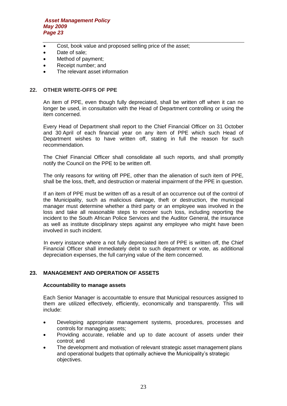- Cost, book value and proposed selling price of the asset;
- Date of sale:
- Method of payment;
- Receipt number; and
- The relevant asset information

# **22. OTHER WRITE-OFFS OF PPE**

An item of PPE, even though fully depreciated, shall be written off when it can no longer be used, in consultation with the Head of Department controlling or using the item concerned.

Every Head of Department shall report to the Chief Financial Officer on 31 October and 30 April of each financial year on any item of PPE which such Head of Department wishes to have written off, stating in full the reason for such recommendation.

The Chief Financial Officer shall consolidate all such reports, and shall promptly notify the Council on the PPE to be written off.

The only reasons for writing off PPE, other than the alienation of such item of PPE, shall be the loss, theft, and destruction or material impairment of the PPE in question.

If an item of PPE must be written off as a result of an occurrence out of the control of the Municipality, such as malicious damage, theft or destruction, the municipal manager must determine whether a third party or an employee was involved in the loss and take all reasonable steps to recover such loss, including reporting the incident to the South African Police Services and the Auditor General, the insurance as well as institute disciplinary steps against any employee who might have been involved in such incident.

In every instance where a not fully depreciated item of PPE is written off, the Chief Financial Officer shall immediately debit to such department or vote, as additional depreciation expenses, the full carrying value of the item concerned.

# **23. MANAGEMENT AND OPERATION OF ASSETS**

#### **Accountability to manage assets**

Each Senior Manager is accountable to ensure that Municipal resources assigned to them are utilized effectively, efficiently, economically and transparently. This will include:

- Developing appropriate management systems, procedures, processes and controls for managing assets;
- Providing accurate, reliable and up to date account of assets under their control; and
- The development and motivation of relevant strategic asset management plans and operational budgets that optimally achieve the Municipality's strategic objectives.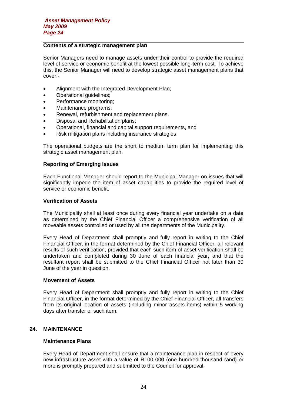# **Contents of a strategic management plan**

Senior Managers need to manage assets under their control to provide the required level of service or economic benefit at the lowest possible long-term cost. To achieve this, the Senior Manager will need to develop strategic asset management plans that cover:-

- Alignment with the Integrated Development Plan;
- Operational quidelines;
- Performance monitoring;
- Maintenance programs;
- Renewal, refurbishment and replacement plans;
- Disposal and Rehabilitation plans;
- Operational, financial and capital support requirements, and
- Risk mitigation plans including insurance strategies

The operational budgets are the short to medium term plan for implementing this strategic asset management plan.

# **Reporting of Emerging Issues**

Each Functional Manager should report to the Municipal Manager on issues that will significantly impede the item of asset capabilities to provide the required level of service or economic benefit.

# **Verification of Assets**

The Municipality shall at least once during every financial year undertake on a date as determined by the Chief Financial Officer a comprehensive verification of all moveable assets controlled or used by all the departments of the Municipality.

Every Head of Department shall promptly and fully report in writing to the Chief Financial Officer, in the format determined by the Chief Financial Officer, all relevant results of such verification, provided that each such item of asset verification shall be undertaken and completed during 30 June of each financial year, and that the resultant report shall be submitted to the Chief Financial Officer not later than 30 June of the year in question.

#### **Movement of Assets**

Every Head of Department shall promptly and fully report in writing to the Chief Financial Officer, in the format determined by the Chief Financial Officer, all transfers from its original location of assets (including minor assets items) within 5 working days after transfer of such item.

#### **24. MAINTENANCE**

#### **Maintenance Plans**

Every Head of Department shall ensure that a maintenance plan in respect of every new infrastructure asset with a value of R100 000 (one hundred thousand rand) or more is promptly prepared and submitted to the Council for approval.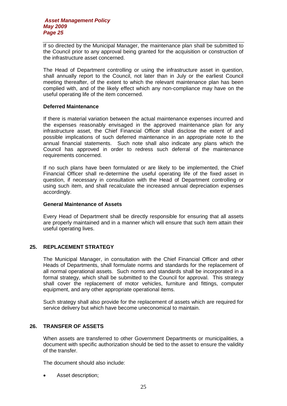If so directed by the Municipal Manager, the maintenance plan shall be submitted to the Council prior to any approval being granted for the acquisition or construction of the infrastructure asset concerned.

The Head of Department controlling or using the infrastructure asset in question, shall annually report to the Council, not later than in July or the earliest Council meeting thereafter, of the extent to which the relevant maintenance plan has been complied with, and of the likely effect which any non-compliance may have on the useful operating life of the item concerned.

#### **Deferred Maintenance**

If there is material variation between the actual maintenance expenses incurred and the expenses reasonably envisaged in the approved maintenance plan for any infrastructure asset, the Chief Financial Officer shall disclose the extent of and possible implications of such deferred maintenance in an appropriate note to the annual financial statements. Such note shall also indicate any plans which the Council has approved in order to redress such deferral of the maintenance requirements concerned.

If no such plans have been formulated or are likely to be implemented, the Chief Financial Officer shall re-determine the useful operating life of the fixed asset in question, if necessary in consultation with the Head of Department controlling or using such item, and shall recalculate the increased annual depreciation expenses accordingly.

# **General Maintenance of Assets**

Every Head of Department shall be directly responsible for ensuring that all assets are properly maintained and in a manner which will ensure that such item attain their useful operating lives.

# **25. REPLACEMENT STRATEGY**

The Municipal Manager, in consultation with the Chief Financial Officer and other Heads of Departments, shall formulate norms and standards for the replacement of all normal operational assets. Such norms and standards shall be incorporated in a formal strategy, which shall be submitted to the Council for approval. This strategy shall cover the replacement of motor vehicles, furniture and fittings, computer equipment, and any other appropriate operational items.

Such strategy shall also provide for the replacement of assets which are required for service delivery but which have become uneconomical to maintain.

# **26. TRANSFER OF ASSETS**

When assets are transferred to other Government Departments or municipalities, a document with specific authorization should be tied to the asset to ensure the validity of the transfer.

The document should also include:

• Asset description;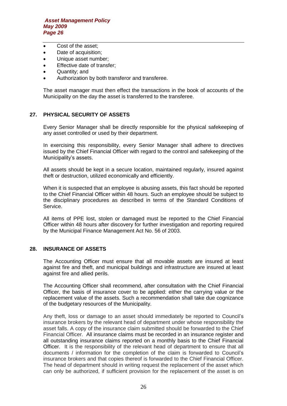- Cost of the asset:
- Date of acquisition;
- Unique asset number;
- **•** Effective date of transfer;
- Quantity; and
- Authorization by both transferor and transferee.

The asset manager must then effect the transactions in the book of accounts of the Municipality on the day the asset is transferred to the transferee.

# **27. PHYSICAL SECURITY OF ASSETS**

Every Senior Manager shall be directly responsible for the physical safekeeping of any asset controlled or used by their department.

In exercising this responsibility, every Senior Manager shall adhere to directives issued by the Chief Financial Officer with regard to the control and safekeeping of the Municipality's assets.

All assets should be kept in a secure location, maintained regularly, insured against theft or destruction, utilized economically and efficiently.

When it is suspected that an employee is abusing assets, this fact should be reported to the Chief Financial Officer within 48 hours. Such an employee should be subject to the disciplinary procedures as described in terms of the Standard Conditions of Service.

All items of PPE lost, stolen or damaged must be reported to the Chief Financial Officer within 48 hours after discovery for further investigation and reporting required by the Municipal Finance Management Act No. 56 of 2003.

#### **28. INSURANCE OF ASSETS**

The Accounting Officer must ensure that all movable assets are insured at least against fire and theft, and municipal buildings and infrastructure are insured at least against fire and allied perils.

The Accounting Officer shall recommend, after consultation with the Chief Financial Officer, the basis of insurance cover to be applied: either the carrying value or the replacement value of the assets. Such a recommendation shall take due cognizance of the budgetary resources of the Municipality.

Any theft, loss or damage to an asset should immediately be reported to Council's insurance brokers by the relevant head of department under whose responsibility the asset falls. A copy of the insurance claim submitted should be forwarded to the Chief Financial Officer. All insurance claims must be recorded in an insurance register and all outstanding insurance claims reported on a monthly basis to the Chief Financial Officer. It is the responsibility of the relevant head of department to ensure that all documents / information for the completion of the claim is forwarded to Council's insurance brokers and that copies thereof is forwarded to the Chief Financial Officer. The head of department should in writing request the replacement of the asset which can only be authorized, if sufficient provision for the replacement of the asset is on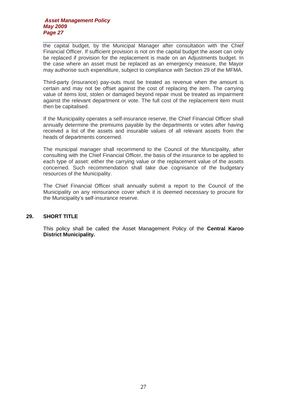the capital budget, by the Municipal Manager after consultation with the Chief Financial Officer. If sufficient provision is not on the capital budget the asset can only be replaced if provision for the replacement is made on an Adjustments budget. In the case where an asset must be replaced as an emergency measure, the Mayor may authorise such expenditure, subject to compliance with Section 29 of the MFMA.

Third-party (insurance) pay-outs must be treated as revenue when the amount is certain and may not be offset against the cost of replacing the item. The carrying value of items lost, stolen or damaged beyond repair must be treated as impairment against the relevant department or vote. The full cost of the replacement item must then be capitalised.

If the Municipality operates a self-insurance reserve, the Chief Financial Officer shall annually determine the premiums payable by the departments or votes after having received a list of the assets and insurable values of all relevant assets from the heads of departments concerned.

The municipal manager shall recommend to the Council of the Municipality, after consulting with the Chief Financial Officer, the basis of the insurance to be applied to each type of asset: either the carrying value or the replacement value of the assets concerned. Such recommendation shall take due cognisance of the budgetary resources of the Municipality.

The Chief Financial Officer shall annually submit a report to the Council of the Municipality on any reinsurance cover which it is deemed necessary to procure for the Municipality's self-insurance reserve.

# **29. SHORT TITLE**

This policy shall be called the Asset Management Policy of the **Central Karoo District Municipality.**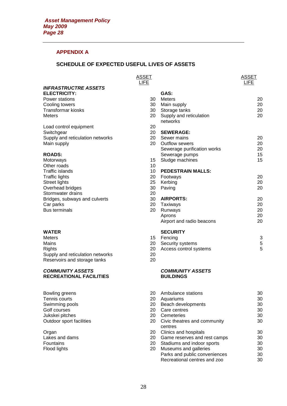# **APPENDIX A**

# **SCHEDULE OF EXPECTED USEFUL LIVES OF ASSETS**

|                                                                  | <b>ASSET</b><br><b>LIFE</b> |                                     | <b>ASSET</b><br><b>LIFE</b> |
|------------------------------------------------------------------|-----------------------------|-------------------------------------|-----------------------------|
| <b>INFRASTRUCTRE ASSETS</b>                                      |                             |                                     |                             |
| <b>ELECTRICITY:</b>                                              |                             | GAS:                                |                             |
| <b>Power stations</b>                                            | 30                          | <b>Meters</b>                       | 20                          |
| Cooling towers                                                   | 30                          | Main supply                         | 20                          |
| Transformar kiosks                                               | 30                          | Storage tanks                       | 20                          |
| Meters                                                           | 20                          | Supply and reticulation<br>networks | 20                          |
| Load control equipment                                           | 20                          |                                     |                             |
| Switchgear                                                       | 20                          | <b>SEWERAGE:</b>                    |                             |
| Supply and reticulation networks                                 | 20                          | Sewer mains                         | 20                          |
| Main supply                                                      | 20                          | Outflow sewers                      | 20                          |
|                                                                  |                             | Sewerage purification works         | 20                          |
| <b>ROADS:</b>                                                    |                             | Sewerage pumps                      | 15                          |
| Motorways                                                        | 15                          | Sludge machines                     | 15                          |
| Other roads                                                      | 10                          |                                     |                             |
| Traffic islands                                                  | 10                          | <b>PEDESTRAIN MALLS:</b>            |                             |
| Traffic lights                                                   | 20                          | Footways                            | 20                          |
| Street lights                                                    | 25                          | Kerbing                             | 20                          |
| Overhead bridges                                                 | 30                          | Paving                              | 20                          |
| Stormwater drains                                                | 20                          |                                     |                             |
| Bridges, subways and culverts                                    | 30                          | <b>AIRPORTS:</b>                    | 20                          |
| Car parks                                                        | 20                          | Taxiways                            | 20                          |
| <b>Bus terminals</b>                                             | 20                          | Runways                             | 20                          |
|                                                                  |                             | Aprons                              | 20                          |
|                                                                  |                             | Airport and radio beacons           | 20                          |
| WATER                                                            |                             | <b>SECURITY</b>                     |                             |
| Meters                                                           | 15                          | Fencing                             | 3                           |
| Mains                                                            | 20                          | Security systems                    | 5                           |
| Rights                                                           | 20                          | Access control systems              | 5                           |
| Supply and reticulation networks<br>Reservoirs and storage tanks | 20<br>20                    |                                     |                             |

# *COMMUNITY ASSETS COMMUNITY ASSETS* **RECREATIONAL FACILITIES**

| Bowling greens           | 20 | Ambulance stations                      | 30 |
|--------------------------|----|-----------------------------------------|----|
| Tennis courts            | 20 | Aquariums                               | 30 |
| Swimming pools           | 20 | Beach developments                      | 30 |
| Golf courses             | 20 | Care centres                            | 30 |
| Jukskei pitches          | 20 | Cemeteries                              | 30 |
| Outdoor sport facilities | 20 | Civic theatres and community<br>centres | 30 |
| Organ                    | 20 | Clinics and hospitals                   | 30 |
| Lakes and dams           | 20 | Game reserves and rest camps            | 30 |
| Fountains                | 20 | Stadiums and indoor sports              | 30 |
| Flood lights             | 20 | Museums and galleries                   | 30 |
|                          |    | Parks and public conveniences           | 30 |
|                          |    | Recreational centres and zoo            | 30 |
|                          |    |                                         |    |

20